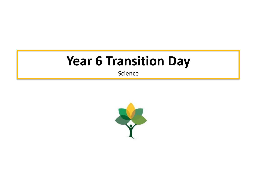# **Year 6 Transition Day**

Science

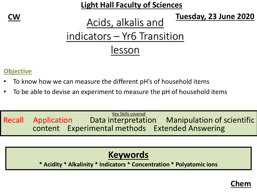**Light Hall Faculty of Sciences**

**CW Tuesday, 23 June 2020**

## Acids, alkalis and indicators – Yr6 Transition lesson

#### **Objective**

- To know how we can measure the different pH's of household items
- To be able to devise an experiment to measure the pH of household items

Key Skills covered Recall Application Data interpretation Manipulation of scientific content Experimental methods Extended Answering

#### **Keywords**

**\* Acidity \* Alkalinity \* Indicators \* Concentration \* Polyatomic ions**

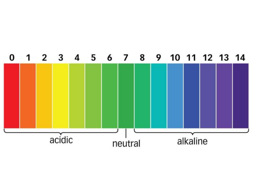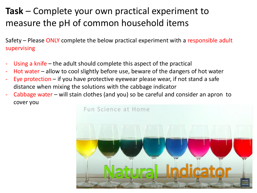Safety – Please ONLY complete the below practical experiment with a responsible adult supervising

- Using a knife  $-$  the adult should complete this aspect of the practical
- Hot water  $-$  allow to cool slightly before use, beware of the dangers of hot water
- Eye protection  $-$  if you have protective eyewear please wear, if not stand a safe distance when mixing the solutions with the cabbage indicator
- Cabbage water will stain clothes (and you) so be careful and consider an apron to cover you

Fun Science at Home

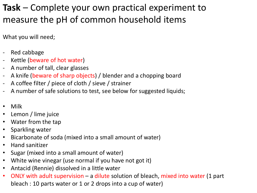What you will need;

- Red cabbage
- Kettle (beware of hot water)
- A number of tall, clear glasses
- A knife (beware of sharp objects) / blender and a chopping board
- A coffee filter / piece of cloth / sieve / strainer
- A number of safe solutions to test, see below for suggested liquids;
- Milk
- Lemon / lime juice
- Water from the tap
- Sparkling water
- Bicarbonate of soda (mixed into a small amount of water)
- Hand sanitizer
- Sugar (mixed into a small amount of water)
- White wine vinegar (use normal if you have not got it)
- Antacid (Rennie) dissolved in a little water
- ONLY with adult supervision a dilute solution of bleach, mixed into water (1 part bleach : 10 parts water or 1 or 2 drops into a cup of water)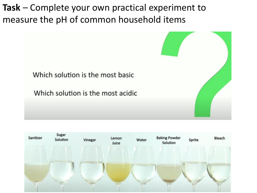

Which solution is the most basic

Which solution is the most acidic

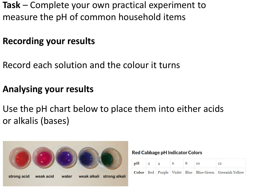#### **Recording your results**

Record each solution and the colour it turns

#### **Analysing your results**

Use the pH chart below to place them into either acids or alkalis (bases)



**Red Cabbage pH Indicator Colors** 

| $pH \t 2 \t 4$ |  |  | 10 | 12                                                                  |
|----------------|--|--|----|---------------------------------------------------------------------|
|                |  |  |    | Color   Red   Purple   Violet   Blue   Blue-Green   Greenish Yellow |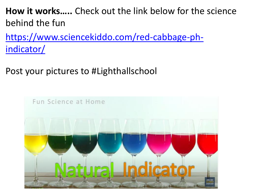**How it works…..** Check out the link below for the science behind the fun

[https://www.sciencekiddo.com/red-cabbage-ph](https://www.sciencekiddo.com/red-cabbage-ph-indicator/)indicator/

Post your pictures to #Lighthallschool